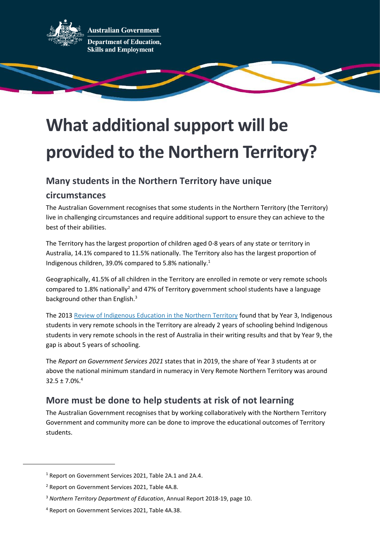

**Australian Government Department of Education, Skills and Employment** 

## **What additional support will be provided to the Northern Territory?**

## **Many students in the Northern Territory have unique**

## **circumstances**

The Australian Government recognises that some students in the Northern Territory (the Territory) live in challenging circumstances and require additional support to ensure they can achieve to the best of their abilities.

The Territory has the largest proportion of children aged 0-8 years of any state or territory in Australia, 14.1% compared to 11.5% nationally. The Territory also has the largest proportion of Indigenous children, 39.0% compared to 5.8% nationally.<sup>1</sup>

Geographically, 41.5% of all children in the Territory are enrolled in remote or very remote schools compared to 1.8% nationally<sup>2</sup> and 47% of Territory government school students have a language background other than English.<sup>3</sup>

The 2013 [Review of Indigenous Education in the Northern Territory](https://www.nt.gov.au/__data/assets/pdf_file/0020/229016/A-Share-in-the-Future-The-Review-of-Indigenous-Education-in-the-Northern-Territory.pdf) found that by Year 3, Indigenous students in very remote schools in the Territory are already 2 years of schooling behind Indigenous students in very remote schools in the rest of Australia in their writing results and that by Year 9, the gap is about 5 years of schooling.

The *Report on Government Services 2021* states that in 2019, the share of Year 3 students at or above the national minimum standard in numeracy in Very Remote Northern Territory was around  $32.5 \pm 7.0\%$ <sup>4</sup>

## **More must be done to help students at risk of not learning**

The Australian Government recognises that by working collaboratively with the Northern Territory Government and community more can be done to improve the educational outcomes of Territory students.

<sup>1</sup> Report on Government Services 2021, Table 2A.1 and 2A.4.

<sup>2</sup> Report on Government Services 2021, Table 4A.8.

<sup>3</sup> *Northern Territory Department of Education*, Annual Report 2018-19, page 10.

<sup>4</sup> Report on Government Services 2021, Table 4A.38.